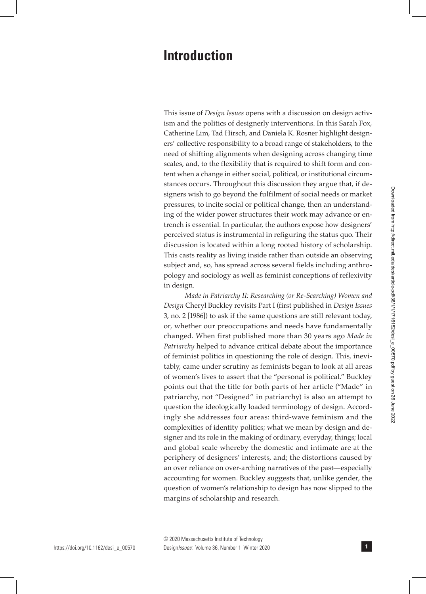## **Introduction**

This issue of *Design Issues* opens with a discussion on design activism and the politics of designerly interventions. In this Sarah Fox, Catherine Lim, Tad Hirsch, and Daniela K. Rosner highlight designers' collective responsibility to a broad range of stakeholders, to the need of shifting alignments when designing across changing time scales, and, to the flexibility that is required to shift form and content when a change in either social, political, or institutional circumstances occurs. Throughout this discussion they argue that, if designers wish to go beyond the fulfilment of social needs or market pressures, to incite social or political change, then an understanding of the wider power structures their work may advance or entrench is essential. In particular, the authors expose how designers' perceived status is instrumental in refiguring the status quo. Their discussion is located within a long rooted history of scholarship. This casts reality as living inside rather than outside an observing subject and, so, has spread across several fields including anthropology and sociology as well as feminist conceptions of reflexivity in design.

*Made in Patriarchy II: Researching (or Re-Searching) Women and Design* Cheryl Buckley revisits Part I (first published in *Design Issues* 3, no. 2 [1986]) to ask if the same questions are still relevant today, or, whether our preoccupations and needs have fundamentally changed. When first published more than 30 years ago *Made in Patriarchy* helped to advance critical debate about the importance of feminist politics in questioning the role of design. This, inevitably, came under scrutiny as feminists began to look at all areas of women's lives to assert that the "personal is political." Buckley points out that the title for both parts of her article ("Made" in patriarchy, not "Designed" in patriarchy) is also an attempt to question the ideologically loaded terminology of design. Accordingly she addresses four areas: third-wave feminism and the complexities of identity politics; what we mean by design and designer and its role in the making of ordinary, everyday, things; local and global scale whereby the domestic and intimate are at the periphery of designers' interests, and; the distortions caused by an over reliance on over-arching narratives of the past—especially accounting for women. Buckley suggests that, unlike gender, the question of women's relationship to design has now slipped to the margins of scholarship and research.

**1**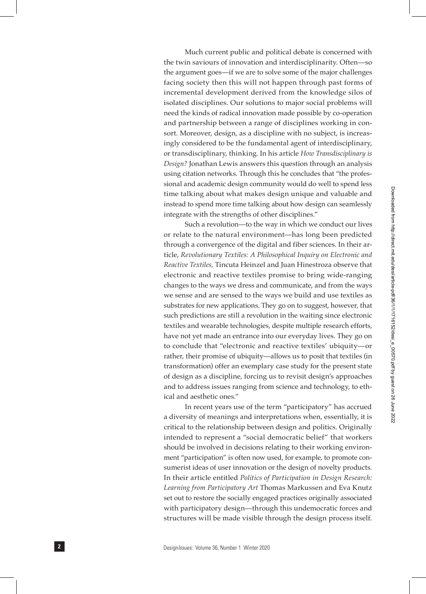Much current public and political debate is concerned with the twin saviours of innovation and interdisciplinarity. Often—so the argument goes—if we are to solve some of the major challenges facing society then this will not happen through past forms of incremental development derived from the knowledge silos of isolated disciplines. Our solutions to major social problems will need the kinds of radical innovation made possible by co-operation and partnership between a range of disciplines working in consort. Moreover, design, as a discipline with no subject, is increasingly considered to be the fundamental agent of interdisciplinary, or transdisciplinary, thinking. In his article *How Transdisciplinary is Design?* Jonathan Lewis answers this question through an analysis using citation networks. Through this he concludes that "the profes sional and academic design community would do well to spend less time talking about what makes design unique and valuable and instead to spend more time talking about how design can seamlessly integrate with the strengths of other disciplines." Such a revolution—to the way in which we conduct our lives

or relate to the natural environment—has long been predicted through a convergence of the digital and fiber sciences. In their ar ticle, *Revolutionary Textiles: A Philosophical Inquiry on Electronic and Reactive Textiles,* Tincuta Heinzel and Juan Hinestroza observe that electronic and reactive textiles promise to bring wide-ranging changes to the ways we dress and communicate, and from the ways we sense and are sensed to the ways we build and use textiles as substrates for new applications. They go on to suggest, however, that such predictions are still a revolution in the waiting since electronic textiles and wearable technologies, despite multiple research efforts, have not yet made an entrance into our everyday lives. They go on to conclude that "electronic and reactive textiles' ubiquity—or rather, their promise of ubiquity—allows us to posit that textiles (in transformation) offer an exemplary case study for the present state of design as a discipline, forcing us to revisit design's approaches and to address issues ranging from science and technology, to eth ical and aesthetic ones."

In recent years use of the term "participatory" has accrued a diversity of meanings and interpretations when, essentially, it is critical to the relationship between design and politics. Originally intended to represent a "social democratic belief" that workers should be involved in decisions relating to their working environ ment "participation" is often now used, for example, to promote con sumerist ideas of user innovation or the design of novelty products. In their article entitled *Politics of Participation in Design Research: Learning from Participatory Art* Thomas Markussen and Eva Knutz set out to restore the socially engaged practices originally associated with participatory design—through this undemocratic forces and structures will be made visible through the design process itself.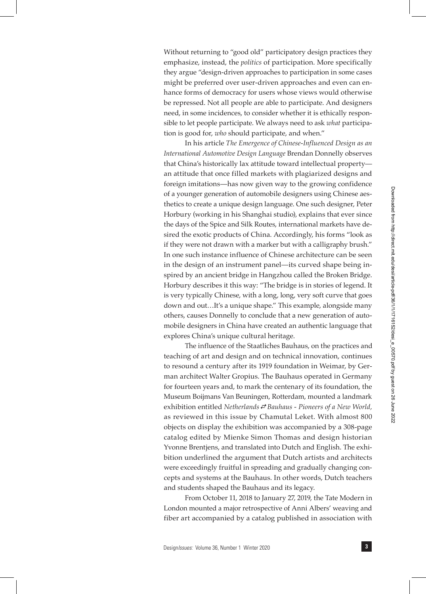Without returning to "good old" participatory design practices they emphasize, instead, the *politics* of participation. More specifically they argue "design-driven approaches to participation in some cases might be preferred over user-driven approaches and even can enhance forms of democracy for users whose views would otherwise be repressed. Not all people are able to participate. And designers need, in some incidences, to consider whether it is ethically responsible to let people participate. We always need to ask *what* participation is good for, *who* should participate, and when."

In his article *The Emergence of Chinese-Influenced Design as an International Automotive Design Language* Brendan Donnelly observes that China's historically lax attitude toward intellectual property an attitude that once filled markets with plagiarized designs and foreign imitations—has now given way to the growing confidence of a younger generation of automobile designers using Chinese aesthetics to create a unique design language. One such designer, Peter Horbury (working in his Shanghai studio), explains that ever since the days of the Spice and Silk Routes, international markets have desired the exotic products of China. Accordingly, his forms "look as if they were not drawn with a marker but with a calligraphy brush." In one such instance influence of Chinese architecture can be seen in the design of an instrument panel—its curved shape being inspired by an ancient bridge in Hangzhou called the Broken Bridge. Horbury describes it this way: "The bridge is in stories of legend. It is very typically Chinese, with a long, long, very soft curve that goes down and out…It's a unique shape." This example, alongside many others, causes Donnelly to conclude that a new generation of automobile designers in China have created an authentic language that explores China's unique cultural heritage.

The influence of the Staatliches Bauhaus, on the practices and teaching of art and design and on technical innovation, continues to resound a century after its 1919 foundation in Weimar, by German architect Walter Gropius. The Bauhaus operated in Germany for fourteen years and, to mark the centenary of its foundation, the Museum Boijmans Van Beuningen, Rotterdam, mounted a landmark exhibition entitled *Netherlands Bauhaus - Pioneers of a New World,*  as reviewed in this issue by Chamutal Leket. With almost 800 objects on display the exhibition was accompanied by a 308-page catalog edited by Mienke Simon Thomas and design historian Yvonne Brentjens, and translated into Dutch and English. The exhibition underlined the argument that Dutch artists and architects were exceedingly fruitful in spreading and gradually changing concepts and systems at the Bauhaus. In other words, Dutch teachers and students shaped the Bauhaus and its legacy.

From October 11, 2018 to January 27, 2019, the Tate Modern in London mounted a major retrospective of Anni Albers' weaving and fiber art accompanied by a catalog published in association with